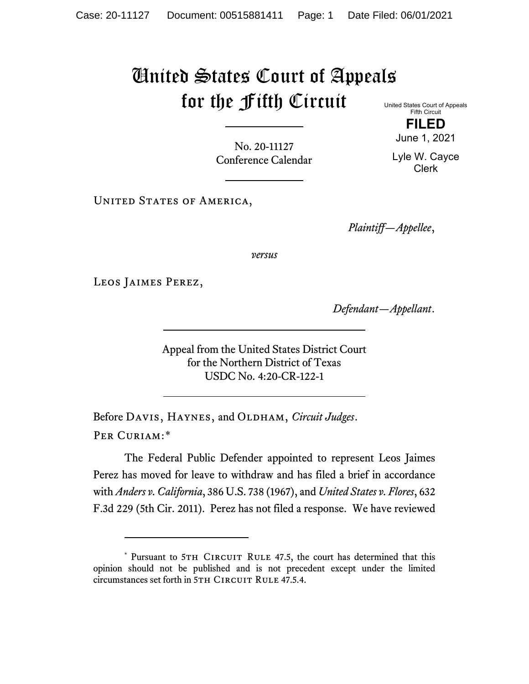## United States Court of Appeals for the Fifth Circuit

United States Court of Appeals Fifth Circuit

No. 20-11127 Conference Calendar

UNITED STATES OF AMERICA,

*Plaintiff—Appellee*,

*versus*

Leos Jaimes Perez,

*Defendant—Appellant*.

Appeal from the United States District Court for the Northern District of Texas USDC No. 4:20-CR-122-1

Before DAVIS, HAYNES, and OLDHAM, *Circuit Judges*. Per Curiam:[\\*](#page-0-0)

The Federal Public Defender appointed to represent Leos Jaimes Perez has moved for leave to withdraw and has filed a brief in accordance with *Anders v. California*, 386 U.S. 738 (1967), and *United States v. Flores*, 632 F.3d 229 (5th Cir. 2011). Perez has not filed a response. We have reviewed

**FILED**

June 1, 2021

Lyle W. Cayce Clerk

<span id="page-0-0"></span><sup>\*</sup> Pursuant to 5TH CIRCUIT RULE 47.5, the court has determined that this opinion should not be published and is not precedent except under the limited circumstances set forth in 5TH CIRCUIT RULE 47.5.4.